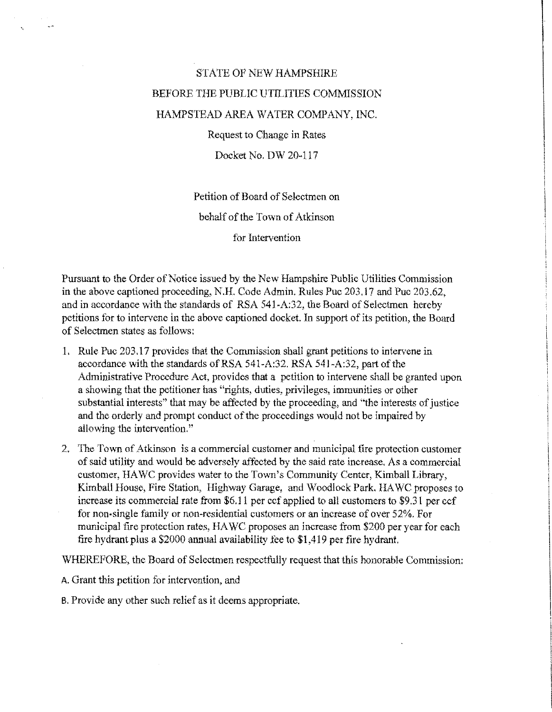## STATE OF NEW HAMPSHIRE BEFORE THE PUBLIC UTILITIES COMMISSION HAMPSTEAD AREA WATER COMPANY, INC.

Request to Change in Rates

Docket No. D\V 20-117

Petition of Board of Selectmen on

behalf of the Town of Atkinson

for Intervention

Pursuant to the Order of'Kotice issued by the New Hampshire Public Utilities Commission in the above captioned proeeeding, N.H. Code Admin. Rules Puc 203.17 and Puc 203.62, and in accordance with the standards of RSA 541-A:32, the Board of Selectmen hereby petitions for to intervene in the above captioned docket. In support of its petition, the Board of Selectmen states as follows:

- I. Rule Puc 203.17 provides that the Commission shall grant petitions to intervene in accordance with the standards of RSA 541-A:32, RSA 541-A:32, part of the Administrative Procedure Act, provides that a petition to intervene shall be granted upon a showing that the petitioner has "rights, duties, privileges, immunities or other substantial interests" that may be affected by the proceeding, and "the interests of justice and the orderly and prompt conduct of the proceedings would not be impaired by allowing the intervention."
- 2. The Town of Atkinson is a commercial customer and municipal fire protection customer of said utility and would be adversely affected by the said rate increase. As a commercial customer, HAWC provides water to the Town's Community Center, Kimball Library, Kimball House, Fire Station, Highway Garage, and Woodlock Park. HA WC proposes to increase its commercial rate from \$6.11 per ccf applied to all customers to \$9.31 per ecf for non-single family or non-residential customers or an increase of over 52%. For municipal fire protection rates, HA WC proposes an increase from \$200 per year for each fire hydrant plus a \$2000 annual availability fee to \$1,419 per fire hydrant.

WHEREFORE, the Board of Selectmen respectfully request that this honorable Commission;

A. Grant this petition for intervention, and

B. Provide any other such relief as it deems appropriate.